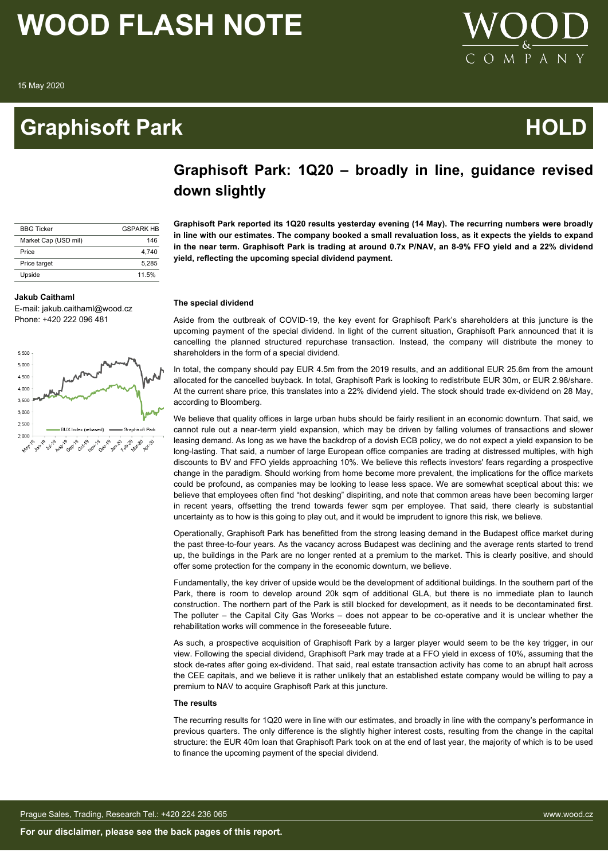15 May 2020

### **Graphisoft Park Contract Contract Contract Contract Contract Contract Contract Contract Contract Contract Contract Contract Contract Contract Contract Contract Contract Contract Contract Contract Contract Contract Contrac**



| <b>BBG Ticker</b>    | <b>GSPARK HB</b> |
|----------------------|------------------|
| Market Cap (USD mil) | 146              |
| Price                | 4.740            |
| Price target         | 5.285            |
| Upside               | 11.5%            |

#### **Jakub Caithaml**

E-mail: jakub.caithaml@wood.cz Phone: +420 222 096 481



### **Graphisoft Park: 1Q20 – broadly in line, guidance revised down slightly**

**Graphisoft Park reported its 1Q20 results yesterday evening (14 May). The recurring numbers were broadly in line with our estimates. The company booked a small revaluation loss, as it expects the yields to expand in the near term. Graphisoft Park is trading at around 0.7x P/NAV, an 8-9% FFO yield and a 22% dividend yield, reflecting the upcoming special dividend payment.**

#### **The special dividend**

Aside from the outbreak of COVID-19, the key event for Graphisoft Park's shareholders at this juncture is the upcoming payment of the special dividend. In light of the current situation, Graphisoft Park announced that it is cancelling the planned structured repurchase transaction. Instead, the company will distribute the money to shareholders in the form of a special dividend.

In total, the company should pay EUR 4.5m from the 2019 results, and an additional EUR 25.6m from the amount allocated for the cancelled buyback. In total, Graphisoft Park is looking to redistribute EUR 30m, or EUR 2.98/share. At the current share price, this translates into a 22% dividend yield. The stock should trade ex-dividend on 28 May, according to Bloomberg.

We believe that quality offices in large urban hubs should be fairly resilient in an economic downturn. That said, we cannot rule out a near-term yield expansion, which may be driven by falling volumes of transactions and slower leasing demand. As long as we have the backdrop of a dovish ECB policy, we do not expect a yield expansion to be long-lasting. That said, a number of large European office companies are trading at distressed multiples, with high discounts to BV and FFO yields approaching 10%. We believe this reflects investors' fears regarding a prospective change in the paradigm. Should working from home become more prevalent, the implications for the office markets could be profound, as companies may be looking to lease less space. We are somewhat sceptical about this: we believe that employees often find "hot desking" dispiriting, and note that common areas have been becoming larger in recent years, offsetting the trend towards fewer sqm per employee. That said, there clearly is substantial uncertainty as to how is this going to play out, and it would be imprudent to ignore this risk, we believe.

Operationally, Graphisoft Park has benefitted from the strong leasing demand in the Budapest office market during the past three-to-four years. As the vacancy across Budapest was declining and the average rents started to trend up, the buildings in the Park are no longer rented at a premium to the market. This is clearly positive, and should offer some protection for the company in the economic downturn, we believe.

Fundamentally, the key driver of upside would be the development of additional buildings. In the southern part of the Park, there is room to develop around 20k sqm of additional GLA, but there is no immediate plan to launch construction. The northern part of the Park is still blocked for development, as it needs to be decontaminated first. The polluter – the Capital City Gas Works – does not appear to be co-operative and it is unclear whether the rehabilitation works will commence in the foreseeable future.

As such, a prospective acquisition of Graphisoft Park by a larger player would seem to be the key trigger, in our view. Following the special dividend, Graphisoft Park may trade at a FFO yield in excess of 10%, assuming that the stock de-rates after going ex-dividend. That said, real estate transaction activity has come to an abrupt halt across the CEE capitals, and we believe it is rather unlikely that an established estate company would be willing to pay a premium to NAV to acquire Graphisoft Park at this juncture.

#### **The results**

The recurring results for 1Q20 were in line with our estimates, and broadly in line with the company's performance in previous quarters. The only difference is the slightly higher interest costs, resulting from the change in the capital structure: the EUR 40m loan that Graphisoft Park took on at the end of last year, the majority of which is to be used to finance the upcoming payment of the special dividend.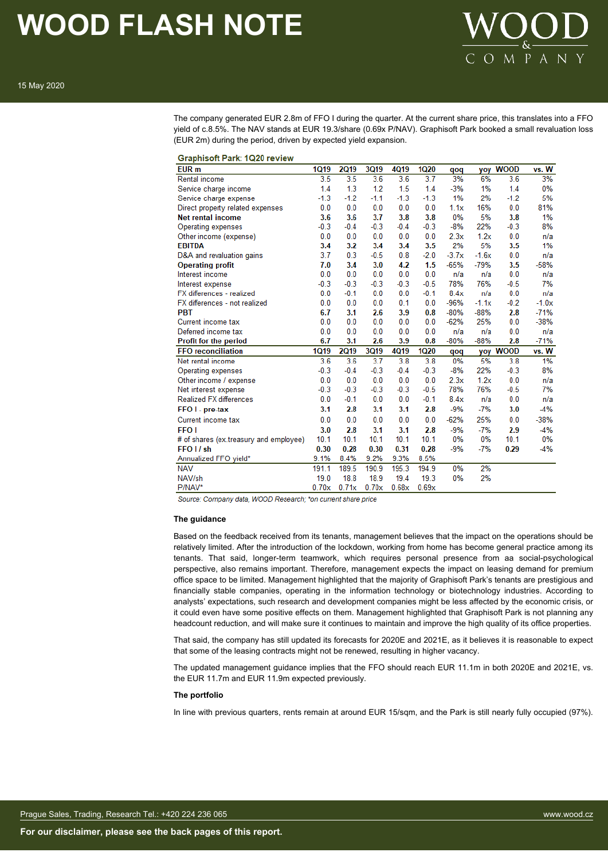

The company generated EUR 2.8m of FFO I during the quarter. At the current share price, this translates into a FFO yield of c.8.5%. The NAV stands at EUR 19.3/share (0.69x P/NAV). Graphisoft Park booked a small revaluation loss (EUR 2m) during the period, driven by expected yield expansion.

| Graphisoft Park: 1Q20 review           |             |             |        |        |             |         |         |             |         |
|----------------------------------------|-------------|-------------|--------|--------|-------------|---------|---------|-------------|---------|
| EUR <sub>m</sub>                       | <b>1Q19</b> | <b>2Q19</b> | 3Q19   | 4Q19   | <b>1Q20</b> | qoq     |         | yoy WOOD    | vs. W   |
| <b>Rental income</b>                   | 3.5         | 3.5         | 3.6    | 3.6    | 3.7         | 3%      | 6%      | 3.6         | 3%      |
| Service charge income                  | 1.4         | 1.3         | 1.2    | 1.5    | 1.4         | $-3%$   | 1%      | 1.4         | 0%      |
| Service charge expense                 | $-1.3$      | $-1.2$      | $-1.1$ | $-1.3$ | $-1.3$      | 1%      | 2%      | $-1.2$      | 5%      |
| Direct property related expenses       | 0.0         | 0.0         | 0.0    | 0.0    | 0.0         | 1.1x    | 16%     | 0.0         | 81%     |
| <b>Net rental income</b>               | 3.6         | 3.6         | 3.7    | 3.8    | 3.8         | 0%      | 5%      | 3.8         | 1%      |
| Operating expenses                     | $-0.3$      | $-0.4$      | $-0.3$ | $-0.4$ | $-0.3$      | $-8%$   | 22%     | $-0.3$      | 8%      |
| Other income (expense)                 | 0.0         | 0.0         | 0.0    | 0.0    | 0.0         | 2.3x    | 1.2x    | 0.0         | n/a     |
| <b>EBITDA</b>                          | 3.4         | 3.2         | 3.4    | 3.4    | 3.5         | 2%      | 5%      | 3.5         | 1%      |
| D&A and revaluation gains              | 3.7         | 0.3         | $-0.5$ | 0.8    | $-2.0$      | $-3.7x$ | $-1.6x$ | 0.0         | n/a     |
| <b>Operating profit</b>                | 7.0         | 3.4         | 3.0    | 4.2    | 1.5         | $-65%$  | $-79%$  | 3.5         | $-58%$  |
| Interest income                        | 0.0         | 0.0         | 0.0    | 0.0    | 0.0         | n/a     | n/a     | 0.0         | n/a     |
| Interest expense                       | $-0.3$      | $-0.3$      | $-0.3$ | $-0.3$ | $-0.5$      | 78%     | 76%     | $-0.5$      | 7%      |
| FX differences - realized              | 0.0         | $-0.1$      | 0.0    | 0.0    | $-0.1$      | 8.4x    | n/a     | 0.0         | n/a     |
| FX differences - not realized          | 0.0         | 0.0         | 0.0    | 0.1    | 0.0         | $-96%$  | $-1.1x$ | $-0.2$      | $-1.0x$ |
| <b>PBT</b>                             | 6.7         | 3.1         | 2.6    | 3.9    | 0.8         | $-80%$  | $-88%$  | 2.8         | $-71%$  |
| Current income tax                     | 0.0         | 0.0         | 0.0    | 0.0    | 0.0         | $-62%$  | 25%     | 0.0         | $-38%$  |
| Deferred income tax                    | 0.0         | 0.0         | 0.0    | 0.0    | 0.0         | n/a     | n/a     | 0.0         | n/a     |
| Profit for the period                  | 6.7         | 3.1         | 2.6    | 3.9    | 0.8         | $-80%$  | $-88%$  | 2.8         | $-71%$  |
| <b>FFO</b> reconciliation              | <b>1Q19</b> | <b>2Q19</b> | 3Q19   | 4Q19   | <b>1Q20</b> | qoq     | yoy     | <b>WOOD</b> | vs. W   |
| Net rental income                      | 3.6         | 3.6         | 3.7    | 3.8    | 3.8         | 0%      | 5%      | 3.8         | 1%      |
| Operating expenses                     | $-0.3$      | $-0.4$      | $-0.3$ | $-0.4$ | $-0.3$      | $-8%$   | 22%     | $-0.3$      | 8%      |
| Other income / expense                 | 0.0         | 0.0         | 0.0    | 0.0    | 0.0         | 2.3x    | 1.2x    | 0.0         | n/a     |
| Net interest expense                   | $-0.3$      | $-0.3$      | $-0.3$ | $-0.3$ | $-0.5$      | 78%     | 76%     | $-0.5$      | 7%      |
| <b>Realized FX differences</b>         | 0.0         | $-0.1$      | 0.0    | 0.0    | $-0.1$      | 8.4x    | n/a     | 0.0         | n/a     |
| FFO I - pre-tax                        | 3.1         | 2.8         | 3.1    | 3.1    | 2.8         | $-9%$   | $-7%$   | 3.0         | $-4%$   |
| Current income tax                     | 0.0         | 0.0         | 0.0    | 0.0    | 0.0         | $-62%$  | 25%     | 0.0         | $-38%$  |
| <b>FFO</b> I                           | 3.0         | 2.8         | 3.1    | 3.1    | 2.8         | $-9%$   | $-7%$   | 2.9         | $-4%$   |
| # of shares (ex.treasury and employee) | 10.1        | 10.1        | 10.1   | 10.1   | 10.1        | 0%      | 0%      | 10.1        | 0%      |
| FFO I / sh                             | 0.30        | 0.28        | 0.30   | 0.31   | 0.28        | $-9%$   | $-7%$   | 0.29        | $-4%$   |
| Annualized FFO yield*                  | 9.1%        | 8.4%        | 9.2%   | 9.3%   | 8.5%        |         |         |             |         |
| <b>NAV</b>                             | 191.1       | 189.5       | 190.9  | 195.3  | 194.9       | 0%      | 2%      |             |         |
| NAV/sh                                 | 19.0        | 18.8        | 18.9   | 19.4   | 19.3        | 0%      | 2%      |             |         |
| P/NAV*                                 | 0.70x       | 0.71x       | 0.70x  | 0.68x  | 0.69x       |         |         |             |         |
|                                        |             |             |        |        |             |         |         |             |         |

Source: Company data, WOOD Research; \*on current share price

 $\frac{1}{2}$ 

#### **The guidance**

Based on the feedback received from its tenants, management believes that the impact on the operations should be relatively limited. After the introduction of the lockdown, working from home has become general practice among its tenants. That said, longer-term teamwork, which requires personal presence from aa social-psychological perspective, also remains important. Therefore, management expects the impact on leasing demand for premium office space to be limited. Management highlighted that the majority of Graphisoft Park's tenants are prestigious and financially stable companies, operating in the information technology or biotechnology industries. According to analysts' expectations, such research and development companies might be less affected by the economic crisis, or it could even have some positive effects on them. Management highlighted that Graphisoft Park is not planning any headcount reduction, and will make sure it continues to maintain and improve the high quality of its office properties.

That said, the company has still updated its forecasts for 2020E and 2021E, as it believes it is reasonable to expect that some of the leasing contracts might not be renewed, resulting in higher vacancy.

The updated management guidance implies that the FFO should reach EUR 11.1m in both 2020E and 2021E, vs. the EUR 11.7m and EUR 11.9m expected previously.

#### **The portfolio**

In line with previous quarters, rents remain at around EUR 15/sqm, and the Park is still nearly fully occupied (97%).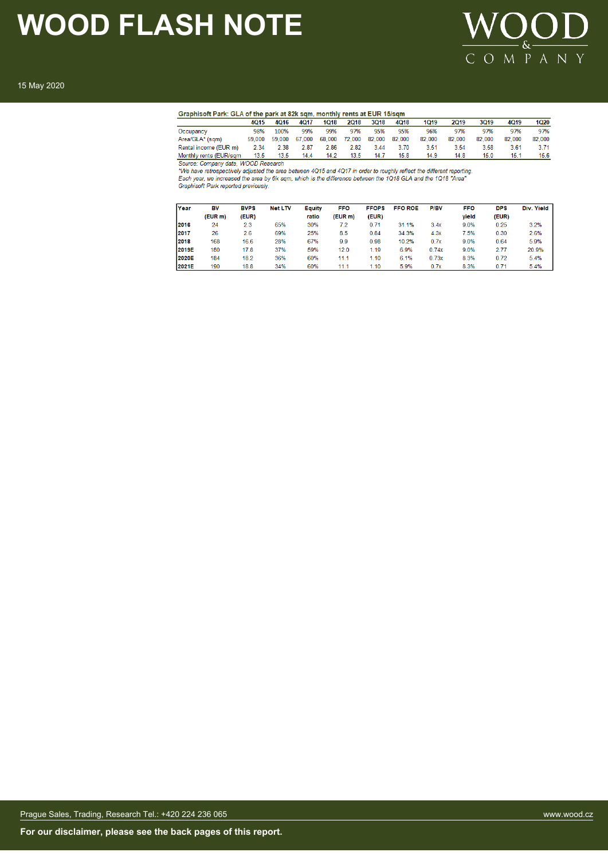

#### 15 May 2020

|  |  | aphisoft Park: GLA of the park at 82k sqm. monthly rents at EUR 15/sqm |
|--|--|------------------------------------------------------------------------|

| Graphisoft Park: GLA of the park at 82k sqm, monthly rents at EUR 15/sqm |        |        |        |        |             |             |        |             |        |             |             |        |
|--------------------------------------------------------------------------|--------|--------|--------|--------|-------------|-------------|--------|-------------|--------|-------------|-------------|--------|
|                                                                          | 4015   | 4016   | 4017   | 1018   | <b>2018</b> | <b>3Q18</b> | 4Q18   | <b>1Q19</b> | 2019   | <b>3Q19</b> | <b>4Q19</b> | 1020   |
| Occupancy                                                                | 98%    | 100%   | 99%    | 99%    | 97%         | 95%         | 95%    | 96%         | 97%    | 97%         | 97%         | 97%    |
| Area/GLA* (sqm)                                                          | 59.000 | 59.000 | 67.000 | 68.000 | 72.000      | 82.000      | 82.000 | 82.000      | 82.000 | 82.000      | 82.000      | 82.000 |
| Rental income (EUR m)                                                    | 2.34   | 2.38   | 2.87   | 2.86   | 2.82        | 3.44        | 3.70   | 3.51        | 3.54   | 3.58        | 3.61        | 3.71   |
| Monthly rents (EUR/sam                                                   | 13.5   | 13.5   | 14.4   | 14.2   | 13.5        | 14.7        | 15.8   | 14.9        | 14.8   | 15.0        | 15.1        | 15.6   |
|                                                                          | .      |        |        |        |             |             |        |             |        |             |             |        |

Source: Company data, WOOD Research

Source: company data, we consume the area between 4Q15 and 4Q17 in order to roughly reflect the different reporting.<br>The have retrospectively adjusted the area by the sqm, which is the difference between the 1Q18 GLA and t

| Year  | BV      | <b>BVPS</b> | <b>Net LTV</b> | Equity | <b>FFO</b> | <b>FFOPS</b> | <b>FFO ROE</b> | P/BV  | <b>FFO</b> | <b>DPS</b> | Div. Yield |
|-------|---------|-------------|----------------|--------|------------|--------------|----------------|-------|------------|------------|------------|
|       | (EUR m) | (EUR)       |                | ratio  | (EUR m)    | (EUR)        |                |       | vield      | (EUR)      |            |
| 2016  | 24      | 2.3         | 65%            | 30%    | 7.2        | 0.71         | 31.1%          | 3.4x  | 9.0%       | 0.25       | 3.2%       |
| 2017  | 26      | 2.6         | 69%            | 25%    | 8.5        | 0.84         | 34.3%          | 4.3x  | 7.5%       | 0.30       | 2.6%       |
| 2018  | 168     | 16.6        | 28%            | 67%    | 9.9        | 0.98         | 10.2%          | 0.7x  | 9.0%       | 0.64       | 5.9%       |
| 2019E | 180     | 17.8        | 37%            | 59%    | 12.0       | 1.19         | 6.9%           | 0.74x | 9.0%       | 2.77       | 20.9%      |
| 2020E | 184     | 18.2        | 36%            | 60%    | 11.1       | 1.10         | 6.1%           | 0.73x | 8.3%       | 0.72       | 5.4%       |
| 2021E | 190     | 18.8        | 34%            | 60%    | 11.1       | 1.10         | 5.9%           | 0.7x  | 8.3%       | 0.71       | 5.4%       |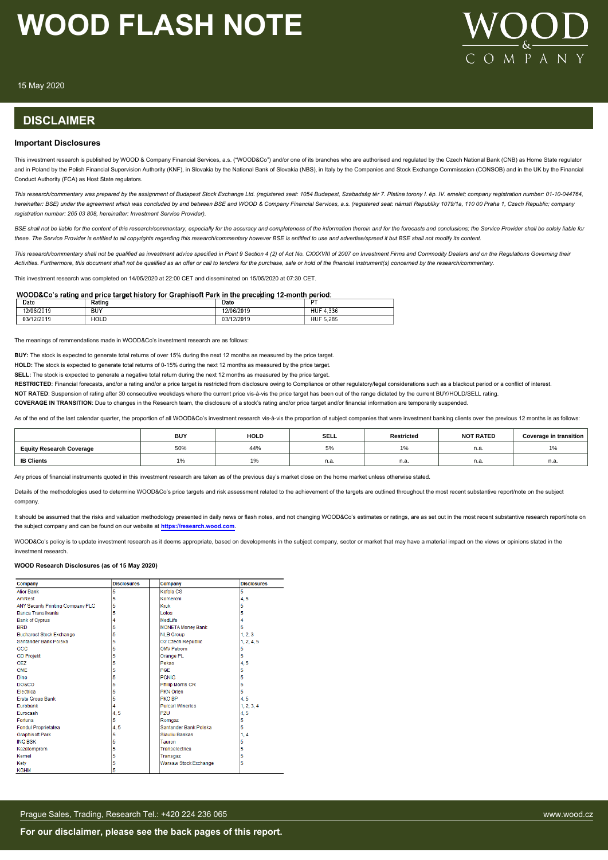

15 May 2020

### **DISCLAIMER**

#### **Important Disclosures**

This investment research is published by WOOD & Company Financial Services, a.s. ("WOOD&Co") and/or one of its branches who are authorised and regulated by the Czech National Bank (CNB) as Home State regulator and in Poland by the Polish Financial Supervision Authority (KNF), in Slovakia by the National Bank of Slovakia (NBS), in Italy by the Companies and Stock Exchange Commisssion (CONSOB) and in the UK by the Financial Conduct Authority (FCA) as Host State regulators.

*This research/commentary was prepared by the assignment of Budapest Stock Exchange Ltd. (registered seat: 1054 Budapest, Szabadság tér 7. Platina torony I. ép. IV. emelet; company registration number: 01-10-044764, hereinafter: BSE) under the agreement which was concluded by and between BSE and WOOD & Company Financial Services, a.s. (registered seat: námstí Republiky 1079/1a, 110 00 Praha 1, Czech Republic; company registration number: 265 03 808, hereinafter: Investment Service Provider).*

BSE shall not be liable for the content of this research/commentary, especially for the accuracy and completeness of the information therein and for the forecasts and conclusions; the Service Provider shall be solely liabl *these. The Service Provider is entitled to all copyrights regarding this research/commentary however BSE is entitled to use and advertise/spread it but BSE shall not modify its content.*

*This research/commentary shall not be qualified as investment advice specified in Point 9 Section 4 (2) of Act No. CXXXVIII of 2007 on Investment Firms and Commodity Dealers and on the Regulations Governing their Activities. Furthermore, this document shall not be qualified as an offer or call to tenders for the purchase, sale or hold of the financial instrument(s) concerned by the research/commentary.*

This investment research was completed on 14/05/2020 at 22:00 CET and disseminated on 15/05/2020 at 07:30 CET

#### WOOD&Co's rating and price target history for Graphisoft Park in the preceding 12-month period:

| Date       | katino | Date                   | $-$                                   |
|------------|--------|------------------------|---------------------------------------|
| 12/06/2019 | BUY    | 5/2019<br>2/06         | $-220$<br>HUF<br>.336<br>$\mathbf{u}$ |
| 03/12/2019 | HOLD   | 12/2019<br>n n<br>"الۍ | 5.285<br><b>HUF</b>                   |

The meanings of remmendations made in WOOD&Co's investment research are as follows:

**BUY:** The stock is expected to generate total returns of over 15% during the next 12 months as measured by the price target.

**HOLD:** The stock is expected to generate total returns of 0-15% during the next 12 months as measured by the price target.

**SELL:** The stock is expected to generate a negative total return during the next 12 months as measured by the price target.

RESTRICTED: Financial forecasts, and/or a rating and/or a price target is restricted from disclosure owing to Compliance or other regulatory/legal considerations such as a blackout period or a conflict of interest.

**NOT RATED:** Suspension of rating after 30 consecutive weekdays where the current price vis-à-vis the price target has been out of the range dictated by the current BUY/HOLD/SELL rating.

**COVERAGE IN TRANSITION**: Due to changes in the Research team, the disclosure of a stock's rating and/or price target and/or financial information are temporarily suspended.

As of the end of the last calendar quarter, the proportion of all WOOD&Co's investment research vis-à-vis the proportion of subject companies that were investment banking clients over the previous 12 months is as follows:

|                                 | <b>BUY</b> | HOLD       | <b>SELL</b> | <b>Restricted</b> | <b>NOT RATED</b> | Coverage in transition |
|---------------------------------|------------|------------|-------------|-------------------|------------------|------------------------|
| <b>Equity Research Coverage</b> | 50%        | 44%        | $\cup$ /0   | .                 | n.a              | $1\%$                  |
| <b>IB Clients</b>               | <b>170</b> | $\sqrt{2}$ | n.a.        | n.a.              | n.a              | n.a.                   |

Any prices of financial instruments quoted in this investment research are taken as of the previous day's market close on the home market unless otherwise stated.

Details of the methodologies used to determine WOOD&Co's price targets and risk assessment related to the achievement of the targets are outlined throughout the most recent substantive report/note on the subject company.

It should be assumed that the risks and valuation methodology presented in daily news or flash notes, and not changing WOOD&Co's estimates or ratings, are as set out in the most recent substantive research report/note on the subject company and can be found on our website at **[https://research.wood.com](https://research.wood.com/)**.

WOOD&Co's policy is to update investment research as it deems appropriate, based on developments in the subject company, sector or market that may have a material impact on the views or opinions stated in the investment research.

#### **WOOD Research Disclosures (as of 15 May 2020)**

| Company                           | <b>Disclosures</b> | Company                      | <b>Disclosures</b> |  |
|-----------------------------------|--------------------|------------------------------|--------------------|--|
| <b>Alior Bank</b>                 | 5                  | Kofola CS                    | 5                  |  |
| AmRest                            | 5                  | Komercni                     | 4.5                |  |
| ANY Security Printing Company PLC | 5                  | Kruk                         | 5                  |  |
| Banca Transilvania                | 5                  | Lotos                        | 5                  |  |
| <b>Bank of Cyprus</b>             | 4                  | Medl ife                     | 4                  |  |
| <b>BRD</b>                        | 5                  | <b>MONETA Money Bank</b>     | 5                  |  |
| <b>Bucharest Stock Exchange</b>   | 5                  | <b>NLB Group</b>             | 1, 2, 3            |  |
| Santander Bank Polska             | 5                  | <b>O2 Czech Republic</b>     | 1, 2, 4, 5         |  |
| <b>CCC</b>                        | 5                  | <b>OMV Petrom</b>            | 5                  |  |
| <b>CD Projekt</b>                 | 5                  | Orange PL                    | 5                  |  |
| CE <sub>Z</sub>                   | 5                  | Pekao                        | 4,5                |  |
| <b>CME</b>                        | 5                  | PGE                          | 5                  |  |
| Dino                              | 5                  | <b>PGNIG</b>                 | 5                  |  |
| <b>DO&amp;CO</b>                  | 5                  | <b>Philip Morris CR</b>      | 5                  |  |
| Electrica                         | 5                  | <b>PKN Orlen</b>             | 5                  |  |
| <b>Erste Group Bank</b>           | 5                  | <b>PKO BP</b>                | 4.5                |  |
| Eurobank                          | 4                  | <b>Purcari Wineries</b>      | 1, 2, 3, 4         |  |
| Eurocash                          | 4,5                | PZU                          | 4,5                |  |
| Fortuna                           | 5                  | Romgaz                       | 5                  |  |
| <b>Fondul Proprietatea</b>        | 4,5                | Santander Bank Polska        | 5                  |  |
| <b>Graphisoft Park</b>            | 5                  | Siauliu Bankas               | 1, 4               |  |
| <b>ING BSK</b>                    | 5                  | Tauron                       | 5                  |  |
| Kazatomprom                       | 5                  | Transelectrica               | 5                  |  |
| Kernel                            | 5                  | Transgaz                     | 5                  |  |
| Kety                              | 5                  | <b>Warsaw Stock Exchange</b> | 5                  |  |
| <b>KGHM</b>                       | 5                  |                              |                    |  |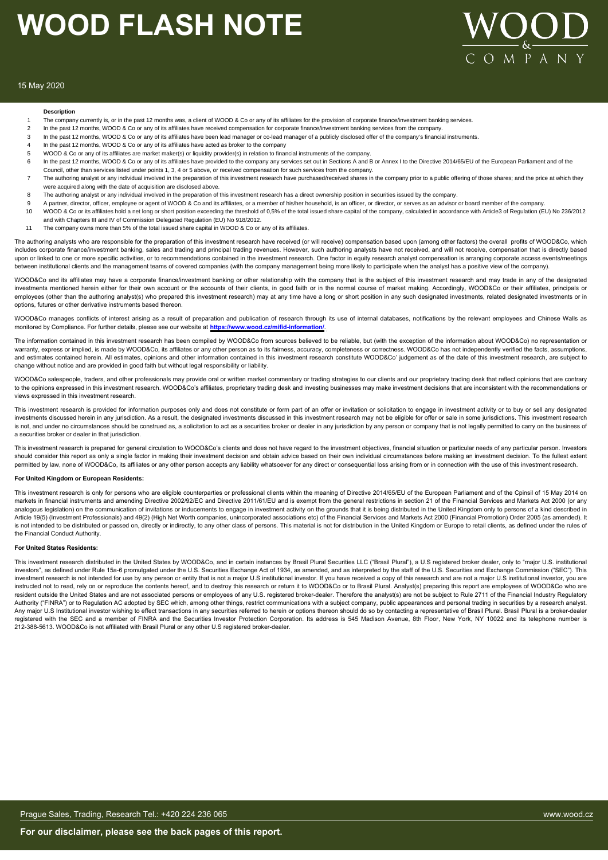

#### 15 May 2020

#### **Description**

- The company currently is, or in the past 12 months was, a client of WOOD & Co or any of its affiliates for the provision of corporate finance/investment banking services.
- 2 In the past 12 months, WOOD & Co or any of its affiliates have received compensation for corporate finance/investment banking services from the company
- 3 In the past 12 months, WOOD & Co or any of its affiliates have been lead manager or co-lead manager of a publicly disclosed offer of the company's financial instruments.
- 4 In the past 12 months, WOOD & Co or any of its affiliates have acted as broker to the company
- 5 WOOD & Co or any of its affiliates are market maker(s) or liquidity provider(s) in relation to financial instruments of the company.
- 6 In the past 12 months, WOOD & Co or any of its affiliates have provided to the company any services set out in Sections A and B or Annex I to the Directive 2014/65/EU of the European Parliament and of the
- Council, other than services listed under points 1, 3, 4 or 5 above, or received compensation for such services from the company. The authoring analyst or any individual involved in the preparation of this investment research have purchased/received shares in the company prior to a public offering of those shares; and the price at which they were acquired along with the date of acquisition are disclosed above.
- 8 The authoring analyst or any individual involved in the preparation of this investment research has a direct ownership position in securities issued by the company.
- 9 A partner, director, officer, employee or agent of WOOD & Co and its affiliates, or a member of his/her household, is an officer, or director, or serves as an advisor or board member of the company
- 10 WOOD & Co or its affiliates hold a net long or short position exceeding the threshold of 0,5% of the total issued share capital of the company, calculated in accordance with Article3 of Regulation (EU) No 236/2012 and with Chapters III and IV of Commission Delegated Regulation (EU) No 918/2012.
- 11 The company owns more than 5% of the total issued share capital in WOOD & Co or any of its affiliates.

The authoring analysts who are responsible for the preparation of this investment research have received (or will receive) compensation based upon (among other factors) the overall profits of WOOD&Co, which includes corporate finance/investment banking, sales and trading and principal trading revenues. However, such authoring analysts have not received, and will not receive, compensation that is directly based upon or linked to one or more specific activities, or to recommendations contained in the investment research. One factor in equity research analyst compensation is arranging corporate access events/meetings een institutional clients and the management teams of covered companies (with the company management being more likely to participate when the analyst has a positive view of the company).

WOOD&Co and its affiliates may have a corporate finance/investment banking or other relationship with the company that is the subject of this investment research and may trade in any of the designated investments mentioned herein either for their own account or the accounts of their clients, in good faith or in the normal course of market making. Accordingly, WOOD&Co or their affiliates, principals or employees (other than the authoring analyst(s) who prepared this investment research) may at any time have a long or short position in any such designated investments, related designated investments or in options, futures or other derivative instruments based thereon.

WOOD&Co manages conflicts of interest arising as a result of preparation and publication of research through its use of internal databases, notifications by the relevant employees and Chinese Walls as monitored by Compliance. For further details, please see our website at **https://www.wood.cz/mifid-information/**.

The information contained in this investment research has been compiled by WOOD&Co from sources believed to be reliable, but (with the exception of the information about WOOD&Co) no representation or warranty, express or implied, is made by WOOD&Co, its affiliates or any other person as to its fairness, accuracy, completeness or correctness. WOOD&Co has not independently verified the facts, assumptions, and estimates contained herein. All estimates, opinions and other information contained in this investment research constitute WOOD&Co' judgement as of the date of this investment research, are subject to change without notice and are provided in good faith but without legal responsibility or liability.

WOOD&Co salespeople, traders, and other professionals may provide oral or written market commentary or trading strategies to our clients and our proprietary trading desk that reflect opinions that are contrary to the opinions expressed in this investment research. WOOD&Co's affiliates, proprietary trading desk and investing businesses may make investment decisions that are inconsistent with the recommendations or views expressed in this investment research.

This investment research is provided for information purposes only and does not constitute or form part of an offer or invitation or solicitation to engage in investment activity or to buy or sell any designated investments discussed herein in any jurisdiction. As a result, the designated investments discussed in this investment research may not be eligible for offer or sale in some jurisdictions. This investment research is not, and under no circumstances should be construed as, a solicitation to act as a securities broker or dealer in any jurisdiction by any person or company that is not legally permitted to carry on the business of a securities broker or dealer in that jurisdiction.

This investment research is prepared for general circulation to WOOD&Co's clients and does not have regard to the investment objectives, financial situation or particular needs of any particular person. Investors should consider this report as only a single factor in making their investment decision and obtain advice based on their own individual circumstances before making an investment decision. To the fullest extent permitted by law, none of WOOD&Co, its affiliates or any other person accepts any liability whatsoever for any direct or consequential loss arising from or in connection with the use of this investment research.

#### **For United Kingdom or European Residents:**

This investment research is only for persons who are eligible counterparties or professional clients within the meaning of Directive 2014/65/EU of the European Parliament and of the Cpinsil of 15 May 2014 on markets in financial instruments and amending Directive 2002/92/EC and Directive 2011/61/EU and is exempt from the general restrictions in section 21 of the Financial Services and Markets Act 2000 (or any analogous legislation) on the communication of invitations or inducements to engage in investment activity on the grounds that it is being distributed in the United Kingdom only to persons of a kind described in Article 19(5) (Investment Professionals) and 49(2) (High Net Worth companies, unincorporated associations etc) of the Financial Services and Markets Act 2000 (Financial Promotion) Order 2005 (as amended). It is not intended to be distributed or passed on, directly or indirectly, to any other class of persons. This material is not for distribution in the United Kingdom or Europe to retail clients, as defined under the rules of the Financial Conduct Authority.

#### **For United States Residents:**

This investment research distributed in the United States by WOOD&Co, and in certain instances by Brasil Plural Securities LLC ("Brasil Plural"), a U.S registered broker dealer, only to "major U.S. institutional investors", as defined under Rule 15a-6 promulgated under the U.S. Securities Exchange Act of 1934, as amended, and as interpreted by the staff of the U.S. Securities and Exchange Commission ("SEC"). This investment research is not intended for use by any person or entity that is not a major U.S institutional investor. If you have received a copy of this research and are not a major U.S institutional investor, you are instructed not to read, rely on or reproduce the contents hereof, and to destroy this research or return it to WOOD&Co or to Brasil Plural. Analyst(s) preparing this report are employees of WOOD&Co who are resident outside the United States and are not associated persons or employees of any U.S. registered broker-dealer. Therefore the analyst(s) are not be subject to Rule 2711 of the Financial Industry Regulatory Authority ("FINRA") or to Regulation AC adopted by SEC which, among other things, restrict communications with a subject company, public appearances and personal trading in securities by a research analyst. Any major U.S Institutional investor wishing to effect transactions in any securities referred to herein or options thereon should do so by contacting a representative of Brasil Plural. Brasil Plural is a broker-dealer registered with the SEC and a member of FINRA and the Securities Investor Protection Corporation. Its address is 545 Madison Avenue, 8th Floor, New York, NY 10022 and its telephone number is 212-388-5613. WOOD&Co is not affiliated with Brasil Plural or any other U.S registered broker-dealer.